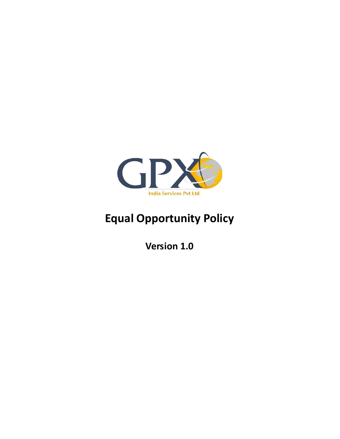

# Equal Opportunity Policy

Version 1.0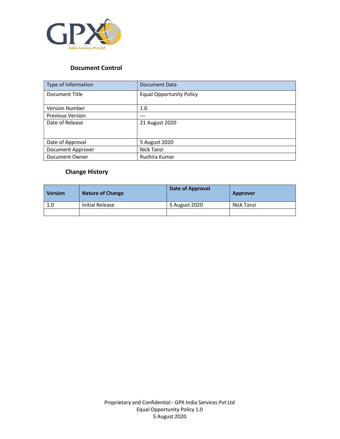

## Document Control

| Type of Information     | Document Data                   |  |
|-------------------------|---------------------------------|--|
| Document Title          | <b>Equal Opportunity Policy</b> |  |
|                         |                                 |  |
| <b>Version Number</b>   | 1.0                             |  |
| <b>Previous Version</b> | ---                             |  |
| Date of Release         | 21 August 2020                  |  |
|                         |                                 |  |
| Date of Approval        | 5 August 2020                   |  |
| Document Approver       | Nick Tanzi                      |  |
| Document Owner          | Ruchira Kumar                   |  |

# Change History

| <b>Version</b> | <b>Nature of Change</b> | Date of Approval | Approver   |
|----------------|-------------------------|------------------|------------|
| 1.0            | Initial Release         | 5 August 2020    | Nick Tanzi |
|                |                         |                  |            |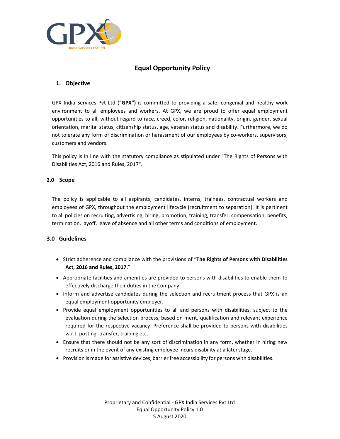

### Equal Opportunity Policy

#### 1. Objective

GPX India Services Pvt Ltd ("GPX") is committed to providing a safe, congenial and healthy work environment to all employees and workers. At GPX, we are proud to offer equal employment opportunities to all, without regard to race, creed, color, religion, nationality, origin, gender, sexual orientation, marital status, citizenship status, age, veteran status and disability. Furthermore, we do not tolerate any form of discrimination or harassment of our employees by co-workers, supervisors, customers and vendors.

This policy is in line with the statutory compliance as stipulated under "The Rights of Persons with Disabilities Act, 2016 and Rules, 2017".

#### 2.0 Scope

The policy is applicable to all aspirants, candidates, interns, trainees, contractual workers and employees of GPX, throughout the employment lifecycle (recruitment to separation). It is pertinent to all policies on recruiting, advertising, hiring, promotion, training, transfer, compensation, benefits, termination, layoff, leave of absence and all other terms and conditions of employment.

#### 3.0 Guidelines

- Strict adherence and compliance with the provisions of "The Rights of Persons with Disabilities Act, 2016 and Rules, 2017."
- Appropriate facilities and amenities are provided to persons with disabilities to enable them to effectively discharge their duties in the Company.
- Inform and advertise candidates during the selection and recruitment process that GPX is an equal employment opportunity employer.
- Provide equal employment opportunities to all and persons with disabilities, subject to the evaluation during the selection process, based on merit, qualification and relevant experience required for the respective vacancy. Preference shall be provided to persons with disabilities w.r.t. posting, transfer, training etc.
- Ensure that there should not be any sort of discrimination in any form, whether in hiring new recruits or in the event of any existing employee incurs disability at a later stage.
- Provision is made for assistive devices, barrier free accessibility for persons with disabilities.